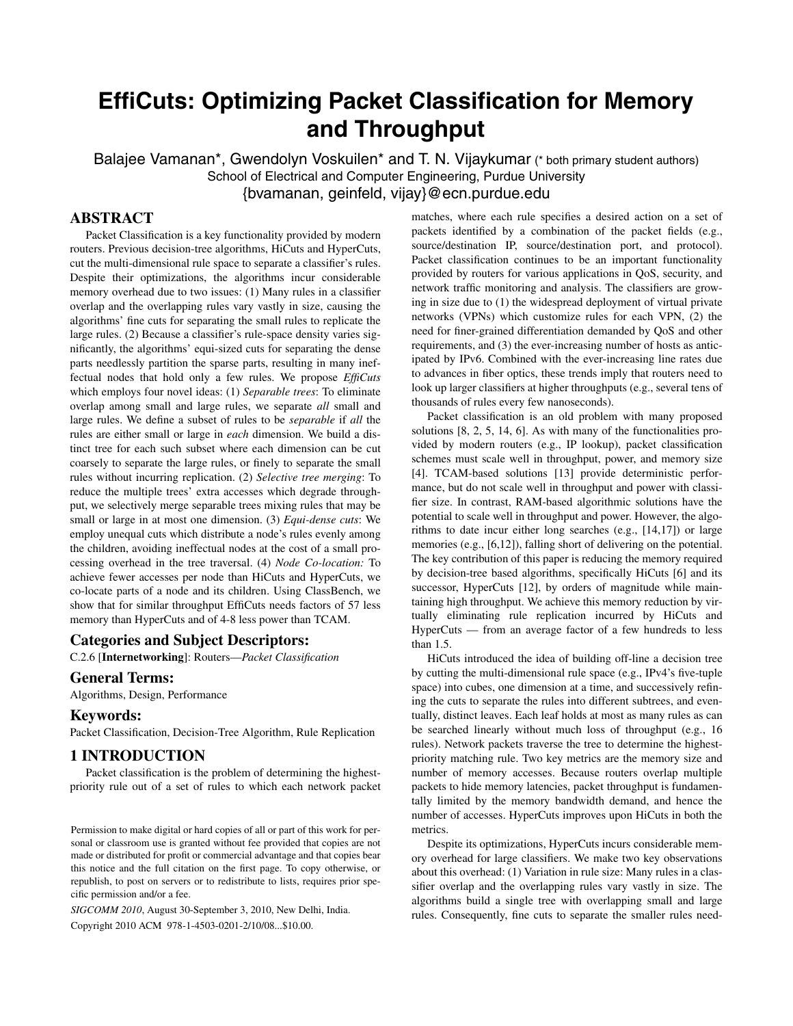# **EffiCuts: Optimizing Packet Classification for Memory and Throughput**

Balajee Vamanan\*, Gwendolyn Voskuilen\* and T. N. Vijaykumar (\* both primary student authors) School of Electrical and Computer Engineering, Purdue University {bvamanan, geinfeld, vijay}@ecn.purdue.edu

# **ABSTRACT**

Packet Classification is a key functionality provided by modern routers. Previous decision-tree algorithms, HiCuts and HyperCuts, cut the multi-dimensional rule space to separate a classifier's rules. Despite their optimizations, the algorithms incur considerable memory overhead due to two issues: (1) Many rules in a classifier overlap and the overlapping rules vary vastly in size, causing the algorithms' fine cuts for separating the small rules to replicate the large rules. (2) Because a classifier's rule-space density varies significantly, the algorithms' equi-sized cuts for separating the dense parts needlessly partition the sparse parts, resulting in many ineffectual nodes that hold only a few rules. We propose *EffiCuts* which employs four novel ideas: (1) *Separable trees*: To eliminate overlap among small and large rules, we separate *all* small and large rules. We define a subset of rules to be *separable* if *all* the rules are either small or large in *each* dimension. We build a distinct tree for each such subset where each dimension can be cut coarsely to separate the large rules, or finely to separate the small rules without incurring replication. (2) *Selective tree merging*: To reduce the multiple trees' extra accesses which degrade throughput, we selectively merge separable trees mixing rules that may be small or large in at most one dimension. (3) *Equi-dense cuts*: We employ unequal cuts which distribute a node's rules evenly among the children, avoiding ineffectual nodes at the cost of a small processing overhead in the tree traversal. (4) *Node Co-location:* To achieve fewer accesses per node than HiCuts and HyperCuts, we co-locate parts of a node and its children. Using ClassBench, we show that for similar throughput EffiCuts needs factors of 57 less memory than HyperCuts and of 4-8 less power than TCAM.

# **Categories and Subject Descriptors:**

C.2.6 [**Internetworking**]: Routers—*Packet Classification*

#### **General Terms:**

Algorithms, Design, Performance

#### **Keywords:**

Packet Classification, Decision-Tree Algorithm, Rule Replication

# <span id="page-0-0"></span>**1 INTRODUCTION**

Packet classification is the problem of determining the highestpriority rule out of a set of rules to which each network packet

*SIGCOMM 2010*, August 30-September 3, 2010, New Delhi, India. Copyright 2010 ACM 978-1-4503-0201-2/10/08...\$10.00.

matches, where each rule specifies a desired action on a set of packets identified by a combination of the packet fields (e.g., source/destination IP, source/destination port, and protocol). Packet classification continues to be an important functionality provided by routers for various applications in QoS, security, and network traffic monitoring and analysis. The classifiers are growing in size due to (1) the widespread deployment of virtual private networks (VPNs) which customize rules for each VPN, (2) the need for finer-grained differentiation demanded by QoS and other requirements, and (3) the ever-increasing number of hosts as anticipated by IPv6. Combined with the ever-increasing line rates due to advances in fiber optics, these trends imply that routers need to look up larger classifiers at higher throughputs (e.g., several tens of thousands of rules every few nanoseconds).

Packet classification is an old problem with many proposed solutions [8, 2, 5, 14, 6]. As with many of the functionalities provided by modern routers (e.g., IP lookup), packet classification schemes must scale well in throughput, power, and memory size [4]. TCAM-based solutions [13] provide deterministic performance, but do not scale well in throughput and power with classifier size. In contrast, RAM-based algorithmic solutions have the potential to scale well in throughput and power. However, the algorithms to date incur either long searches (e.g., [14,17]) or large memories (e.g., [6,12]), falling short of delivering on the potential. The key contribution of this paper is reducing the memory required by decision-tree based algorithms, specifically HiCuts [6] and its successor, HyperCuts [12], by orders of magnitude while maintaining high throughput. We achieve this memory reduction by virtually eliminating rule replication incurred by HiCuts and HyperCuts — from an average factor of a few hundreds to less than 1.5.

HiCuts introduced the idea of building off-line a decision tree by cutting the multi-dimensional rule space (e.g., IPv4's five-tuple space) into cubes, one dimension at a time, and successively refining the cuts to separate the rules into different subtrees, and eventually, distinct leaves. Each leaf holds at most as many rules as can be searched linearly without much loss of throughput (e.g., 16 rules). Network packets traverse the tree to determine the highestpriority matching rule. Two key metrics are the memory size and number of memory accesses. Because routers overlap multiple packets to hide memory latencies, packet throughput is fundamentally limited by the memory bandwidth demand, and hence the number of accesses. HyperCuts improves upon HiCuts in both the metrics.

Despite its optimizations, HyperCuts incurs considerable memory overhead for large classifiers. We make two key observations about this overhead: (1) Variation in rule size: Many rules in a classifier overlap and the overlapping rules vary vastly in size. The algorithms build a single tree with overlapping small and large rules. Consequently, fine cuts to separate the smaller rules need-

Permission to make digital or hard copies of all or part of this work for personal or classroom use is granted without fee provided that copies are not made or distributed for profit or commercial advantage and that copies bear this notice and the full citation on the first page. To copy otherwise, or republish, to post on servers or to redistribute to lists, requires prior specific permission and/or a fee.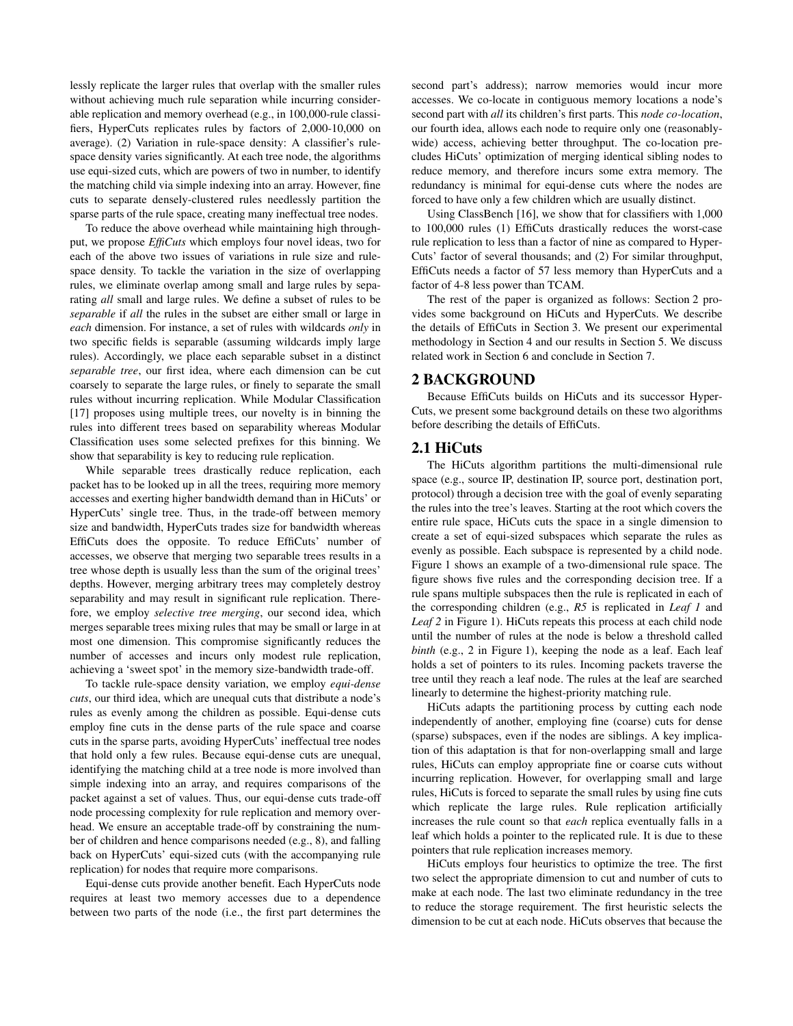lessly replicate the larger rules that overlap with the smaller rules without achieving much rule separation while incurring considerable replication and memory overhead (e.g., in 100,000-rule classifiers, HyperCuts replicates rules by factors of 2,000-10,000 on average). (2) Variation in rule-space density: A classifier's rulespace density varies significantly. At each tree node, the algorithms use equi-sized cuts, which are powers of two in number, to identify the matching child via simple indexing into an array. However, fine cuts to separate densely-clustered rules needlessly partition the sparse parts of the rule space, creating many ineffectual tree nodes.

To reduce the above overhead while maintaining high throughput, we propose *EffiCuts* which employs four novel ideas, two for each of the above two issues of variations in rule size and rulespace density. To tackle the variation in the size of overlapping rules, we eliminate overlap among small and large rules by separating *all* small and large rules. We define a subset of rules to be *separable* if *all* the rules in the subset are either small or large in *each* dimension. For instance, a set of rules with wildcards *only* in two specific fields is separable (assuming wildcards imply large rules). Accordingly, we place each separable subset in a distinct *separable tree*, our first idea, where each dimension can be cut coarsely to separate the large rules, or finely to separate the small rules without incurring replication. While Modular Classification [17] proposes using multiple trees, our novelty is in binning the rules into different trees based on separability whereas Modular Classification uses some selected prefixes for this binning. We show that separability is key to reducing rule replication.

While separable trees drastically reduce replication, each packet has to be looked up in all the trees, requiring more memory accesses and exerting higher bandwidth demand than in HiCuts' or HyperCuts' single tree. Thus, in the trade-off between memory size and bandwidth, HyperCuts trades size for bandwidth whereas EffiCuts does the opposite. To reduce EffiCuts' number of accesses, we observe that merging two separable trees results in a tree whose depth is usually less than the sum of the original trees' depths. However, merging arbitrary trees may completely destroy separability and may result in significant rule replication. Therefore, we employ *selective tree merging*, our second idea, which merges separable trees mixing rules that may be small or large in at most one dimension. This compromise significantly reduces the number of accesses and incurs only modest rule replication, achieving a 'sweet spot' in the memory size-bandwidth trade-off.

To tackle rule-space density variation, we employ *equi-dense cuts*, our third idea, which are unequal cuts that distribute a node's rules as evenly among the children as possible. Equi-dense cuts employ fine cuts in the dense parts of the rule space and coarse cuts in the sparse parts, avoiding HyperCuts' ineffectual tree nodes that hold only a few rules. Because equi-dense cuts are unequal, identifying the matching child at a tree node is more involved than simple indexing into an array, and requires comparisons of the packet against a set of values. Thus, our equi-dense cuts trade-off node processing complexity for rule replication and memory overhead. We ensure an acceptable trade-off by constraining the number of children and hence comparisons needed (e.g., 8), and falling back on HyperCuts' equi-sized cuts (with the accompanying rule replication) for nodes that require more comparisons.

Equi-dense cuts provide another benefit. Each HyperCuts node requires at least two memory accesses due to a dependence between two parts of the node (i.e., the first part determines the

second part's address); narrow memories would incur more accesses. We co-locate in contiguous memory locations a node's second part with *all* its children's first parts. This *node co-location*, our fourth idea, allows each node to require only one (reasonablywide) access, achieving better throughput. The co-location precludes HiCuts' optimization of merging identical sibling nodes to reduce memory, and therefore incurs some extra memory. The redundancy is minimal for equi-dense cuts where the nodes are forced to have only a few children which are usually distinct.

Using ClassBench [16], we show that for classifiers with 1,000 to 100,000 rules (1) EffiCuts drastically reduces the worst-case rule replication to less than a factor of nine as compared to Hyper-Cuts' factor of several thousands; and (2) For similar throughput, EffiCuts needs a factor of 57 less memory than HyperCuts and a factor of 4-8 less power than TCAM.

The rest of the paper is organized as follows: [Section 2](#page-1-0) provides some background on HiCuts and HyperCuts. We describe the details of EffiCuts in [Section 3](#page-3-0). We present our experimental methodology in [Section 4](#page-7-0) and our results in [Section 5.](#page-7-1) We discuss related work in [Section 6](#page-10-0) and conclude in [Section 7.](#page-11-0)

#### <span id="page-1-0"></span>**2 BACKGROUND**

Because EffiCuts builds on HiCuts and its successor Hyper-Cuts, we present some background details on these two algorithms before describing the details of EffiCuts.

# <span id="page-1-1"></span>**2.1 HiCuts**

The HiCuts algorithm partitions the multi-dimensional rule space (e.g., source IP, destination IP, source port, destination port, protocol) through a decision tree with the goal of evenly separating the rules into the tree's leaves. Starting at the root which covers the entire rule space, HiCuts cuts the space in a single dimension to create a set of equi-sized subspaces which separate the rules as evenly as possible. Each subspace is represented by a child node. [Figure 1](#page-2-0) shows an example of a two-dimensional rule space. The figure shows five rules and the corresponding decision tree. If a rule spans multiple subspaces then the rule is replicated in each of the corresponding children (e.g., *R5* is replicated in *Leaf 1* and *Leaf 2* in [Figure 1](#page-2-0)). HiCuts repeats this process at each child node until the number of rules at the node is below a threshold called *binth* (e.g., 2 in [Figure 1\)](#page-2-0), keeping the node as a leaf. Each leaf holds a set of pointers to its rules. Incoming packets traverse the tree until they reach a leaf node. The rules at the leaf are searched linearly to determine the highest-priority matching rule.

HiCuts adapts the partitioning process by cutting each node independently of another, employing fine (coarse) cuts for dense (sparse) subspaces, even if the nodes are siblings. A key implication of this adaptation is that for non-overlapping small and large rules, HiCuts can employ appropriate fine or coarse cuts without incurring replication. However, for overlapping small and large rules, HiCuts is forced to separate the small rules by using fine cuts which replicate the large rules. Rule replication artificially increases the rule count so that *each* replica eventually falls in a leaf which holds a pointer to the replicated rule. It is due to these pointers that rule replication increases memory.

HiCuts employs four heuristics to optimize the tree. The first two select the appropriate dimension to cut and number of cuts to make at each node. The last two eliminate redundancy in the tree to reduce the storage requirement. The first heuristic selects the dimension to be cut at each node. HiCuts observes that because the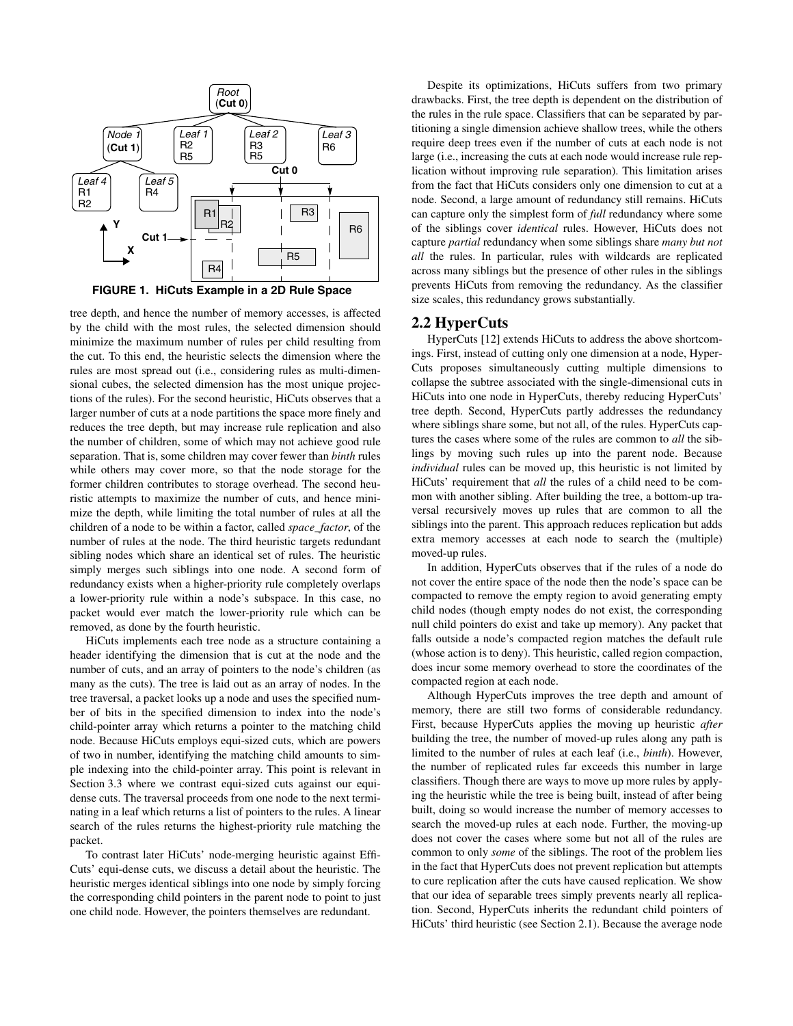

<span id="page-2-0"></span>

tree depth, and hence the number of memory accesses, is affected by the child with the most rules, the selected dimension should minimize the maximum number of rules per child resulting from the cut. To this end, the heuristic selects the dimension where the rules are most spread out (i.e., considering rules as multi-dimensional cubes, the selected dimension has the most unique projections of the rules). For the second heuristic, HiCuts observes that a larger number of cuts at a node partitions the space more finely and reduces the tree depth, but may increase rule replication and also the number of children, some of which may not achieve good rule separation. That is, some children may cover fewer than *binth* rules while others may cover more, so that the node storage for the former children contributes to storage overhead. The second heuristic attempts to maximize the number of cuts, and hence minimize the depth, while limiting the total number of rules at all the children of a node to be within a factor, called *space\_factor*, of the number of rules at the node. The third heuristic targets redundant sibling nodes which share an identical set of rules. The heuristic simply merges such siblings into one node. A second form of redundancy exists when a higher-priority rule completely overlaps a lower-priority rule within a node's subspace. In this case, no packet would ever match the lower-priority rule which can be removed, as done by the fourth heuristic.

HiCuts implements each tree node as a structure containing a header identifying the dimension that is cut at the node and the number of cuts, and an array of pointers to the node's children (as many as the cuts). The tree is laid out as an array of nodes. In the tree traversal, a packet looks up a node and uses the specified number of bits in the specified dimension to index into the node's child-pointer array which returns a pointer to the matching child node. Because HiCuts employs equi-sized cuts, which are powers of two in number, identifying the matching child amounts to simple indexing into the child-pointer array. This point is relevant in [Section 3.3](#page-5-0) where we contrast equi-sized cuts against our equidense cuts. The traversal proceeds from one node to the next terminating in a leaf which returns a list of pointers to the rules. A linear search of the rules returns the highest-priority rule matching the packet.

To contrast later HiCuts' node-merging heuristic against Effi-Cuts' equi-dense cuts, we discuss a detail about the heuristic. The heuristic merges identical siblings into one node by simply forcing the corresponding child pointers in the parent node to point to just one child node. However, the pointers themselves are redundant.

Despite its optimizations, HiCuts suffers from two primary drawbacks. First, the tree depth is dependent on the distribution of the rules in the rule space. Classifiers that can be separated by partitioning a single dimension achieve shallow trees, while the others require deep trees even if the number of cuts at each node is not large (i.e., increasing the cuts at each node would increase rule replication without improving rule separation). This limitation arises from the fact that HiCuts considers only one dimension to cut at a node. Second, a large amount of redundancy still remains. HiCuts can capture only the simplest form of *full* redundancy where some of the siblings cover *identical* rules. However, HiCuts does not capture *partial* redundancy when some siblings share *many but not all* the rules. In particular, rules with wildcards are replicated across many siblings but the presence of other rules in the siblings prevents HiCuts from removing the redundancy. As the classifier size scales, this redundancy grows substantially.

#### <span id="page-2-1"></span>**2.2 HyperCuts**

HyperCuts [12] extends HiCuts to address the above shortcomings. First, instead of cutting only one dimension at a node, Hyper-Cuts proposes simultaneously cutting multiple dimensions to collapse the subtree associated with the single-dimensional cuts in HiCuts into one node in HyperCuts, thereby reducing HyperCuts' tree depth. Second, HyperCuts partly addresses the redundancy where siblings share some, but not all, of the rules. HyperCuts captures the cases where some of the rules are common to *all* the siblings by moving such rules up into the parent node. Because *individual* rules can be moved up, this heuristic is not limited by HiCuts' requirement that *all* the rules of a child need to be common with another sibling. After building the tree, a bottom-up traversal recursively moves up rules that are common to all the siblings into the parent. This approach reduces replication but adds extra memory accesses at each node to search the (multiple) moved-up rules.

In addition, HyperCuts observes that if the rules of a node do not cover the entire space of the node then the node's space can be compacted to remove the empty region to avoid generating empty child nodes (though empty nodes do not exist, the corresponding null child pointers do exist and take up memory). Any packet that falls outside a node's compacted region matches the default rule (whose action is to deny). This heuristic, called region compaction, does incur some memory overhead to store the coordinates of the compacted region at each node.

Although HyperCuts improves the tree depth and amount of memory, there are still two forms of considerable redundancy. First, because HyperCuts applies the moving up heuristic *after* building the tree, the number of moved-up rules along any path is limited to the number of rules at each leaf (i.e., *binth*). However, the number of replicated rules far exceeds this number in large classifiers. Though there are ways to move up more rules by applying the heuristic while the tree is being built, instead of after being built, doing so would increase the number of memory accesses to search the moved-up rules at each node. Further, the moving-up does not cover the cases where some but not all of the rules are common to only *some* of the siblings. The root of the problem lies in the fact that HyperCuts does not prevent replication but attempts to cure replication after the cuts have caused replication. We show that our idea of separable trees simply prevents nearly all replication. Second, HyperCuts inherits the redundant child pointers of HiCuts' third heuristic (see [Section 2.1\)](#page-1-1). Because the average node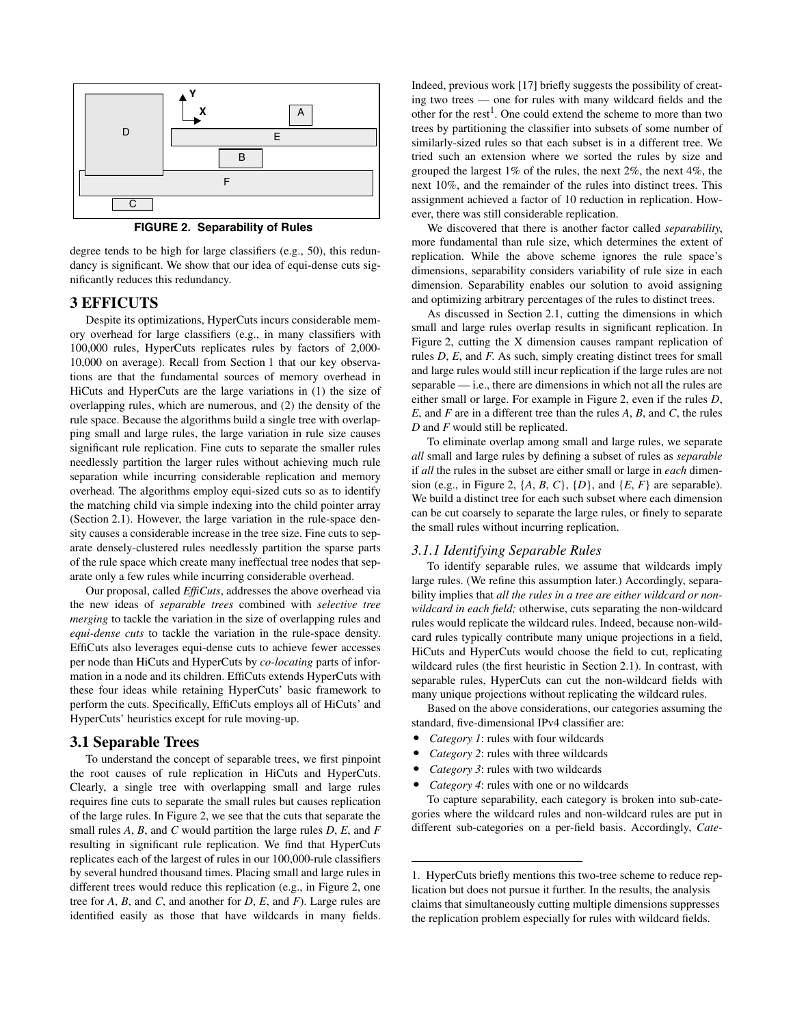

**FIGURE 2. Separability of Rules**

<span id="page-3-1"></span>degree tends to be high for large classifiers (e.g., 50), this redundancy is significant. We show that our idea of equi-dense cuts significantly reduces this redundancy.

## <span id="page-3-0"></span>**3 EFFICUTS**

Despite its optimizations, HyperCuts incurs considerable memory overhead for large classifiers (e.g., in many classifiers with 100,000 rules, HyperCuts replicates rules by factors of 2,000- 10,000 on average). Recall from [Section 1](#page-0-0) that our key observations are that the fundamental sources of memory overhead in HiCuts and HyperCuts are the large variations in (1) the size of overlapping rules, which are numerous, and (2) the density of the rule space. Because the algorithms build a single tree with overlapping small and large rules, the large variation in rule size causes significant rule replication. Fine cuts to separate the smaller rules needlessly partition the larger rules without achieving much rule separation while incurring considerable replication and memory overhead. The algorithms employ equi-sized cuts so as to identify the matching child via simple indexing into the child pointer array ([Section 2.1](#page-1-1)). However, the large variation in the rule-space density causes a considerable increase in the tree size. Fine cuts to separate densely-clustered rules needlessly partition the sparse parts of the rule space which create many ineffectual tree nodes that separate only a few rules while incurring considerable overhead.

Our proposal, called *EffiCuts*, addresses the above overhead via the new ideas of *separable trees* combined with *selective tree merging* to tackle the variation in the size of overlapping rules and *equi-dense cuts* to tackle the variation in the rule-space density. EffiCuts also leverages equi-dense cuts to achieve fewer accesses per node than HiCuts and HyperCuts by *co-locating* parts of information in a node and its children. EffiCuts extends HyperCuts with these four ideas while retaining HyperCuts' basic framework to perform the cuts. Specifically, EffiCuts employs all of HiCuts' and HyperCuts' heuristics except for rule moving-up.

# <span id="page-3-3"></span>**3.1 Separable Trees**

To understand the concept of separable trees, we first pinpoint the root causes of rule replication in HiCuts and HyperCuts. Clearly, a single tree with overlapping small and large rules requires fine cuts to separate the small rules but causes replication of the large rules. In [Figure 2](#page-3-1), we see that the cuts that separate the small rules *A*, *B*, and *C* would partition the large rules *D*, *E*, and *F* resulting in significant rule replication. We find that HyperCuts replicates each of the largest of rules in our 100,000-rule classifiers by several hundred thousand times. Placing small and large rules in different trees would reduce this replication (e.g., in [Figure 2](#page-3-1), one tree for *A*, *B*, and *C*, and another for *D*, *E*, and *F*). Large rules are identified easily as those that have wildcards in many fields.

Indeed, previous work [17] briefly suggests the possibility of creating two trees — one for rules with many wildcard fields and the other for the rest<sup>1</sup>. One could extend the scheme to more than two trees by partitioning the classifier into subsets of some number of similarly-sized rules so that each subset is in a different tree. We tried such an extension where we sorted the rules by size and grouped the largest 1% of the rules, the next 2%, the next 4%, the next 10%, and the remainder of the rules into distinct trees. This assignment achieved a factor of 10 reduction in replication. However, there was still considerable replication.

We discovered that there is another factor called *separability*, more fundamental than rule size, which determines the extent of replication. While the above scheme ignores the rule space's dimensions, separability considers variability of rule size in each dimension. Separability enables our solution to avoid assigning and optimizing arbitrary percentages of the rules to distinct trees.

As discussed in [Section 2.1](#page-1-1), cutting the dimensions in which small and large rules overlap results in significant replication. In [Figure 2](#page-3-1), cutting the X dimension causes rampant replication of rules *D*, *E*, and *F*. As such, simply creating distinct trees for small and large rules would still incur replication if the large rules are not separable — i.e., there are dimensions in which not all the rules are either small or large. For example in [Figure 2](#page-3-1), even if the rules *D*, *E*, and *F* are in a different tree than the rules *A*, *B*, and *C*, the rules *D* and *F* would still be replicated.

To eliminate overlap among small and large rules, we separate *all* small and large rules by defining a subset of rules as *separable* if *all* the rules in the subset are either small or large in *each* dimen-sion (e.g., in [Figure 2](#page-3-1),  $\{A, B, C\}$ ,  $\{D\}$ , and  $\{E, F\}$  are separable). We build a distinct tree for each such subset where each dimension can be cut coarsely to separate the large rules, or finely to separate the small rules without incurring replication.

#### <span id="page-3-2"></span>*3.1.1 Identifying Separable Rules*

To identify separable rules, we assume that wildcards imply large rules. (We refine this assumption later.) Accordingly, separability implies that *all the rules in a tree are either wildcard or nonwildcard in each field;* otherwise, cuts separating the non-wildcard rules would replicate the wildcard rules. Indeed, because non-wildcard rules typically contribute many unique projections in a field, HiCuts and HyperCuts would choose the field to cut, replicating wildcard rules (the first heuristic in [Section 2.1](#page-1-1)). In contrast, with separable rules, HyperCuts can cut the non-wildcard fields with many unique projections without replicating the wildcard rules.

Based on the above considerations, our categories assuming the standard, five-dimensional IPv4 classifier are:

- **•** *Category 1*: rules with four wildcards
- **•** *Category 2*: rules with three wildcards
- **•** *Category 3*: rules with two wildcards
- **•** *Category 4*: rules with one or no wildcards

To capture separability, each category is broken into sub-categories where the wildcard rules and non-wildcard rules are put in different sub-categories on a per-field basis. Accordingly, *Cate-*

<sup>1.</sup> HyperCuts briefly mentions this two-tree scheme to reduce replication but does not pursue it further. In the results, the analysis claims that simultaneously cutting multiple dimensions suppresses the replication problem especially for rules with wildcard fields.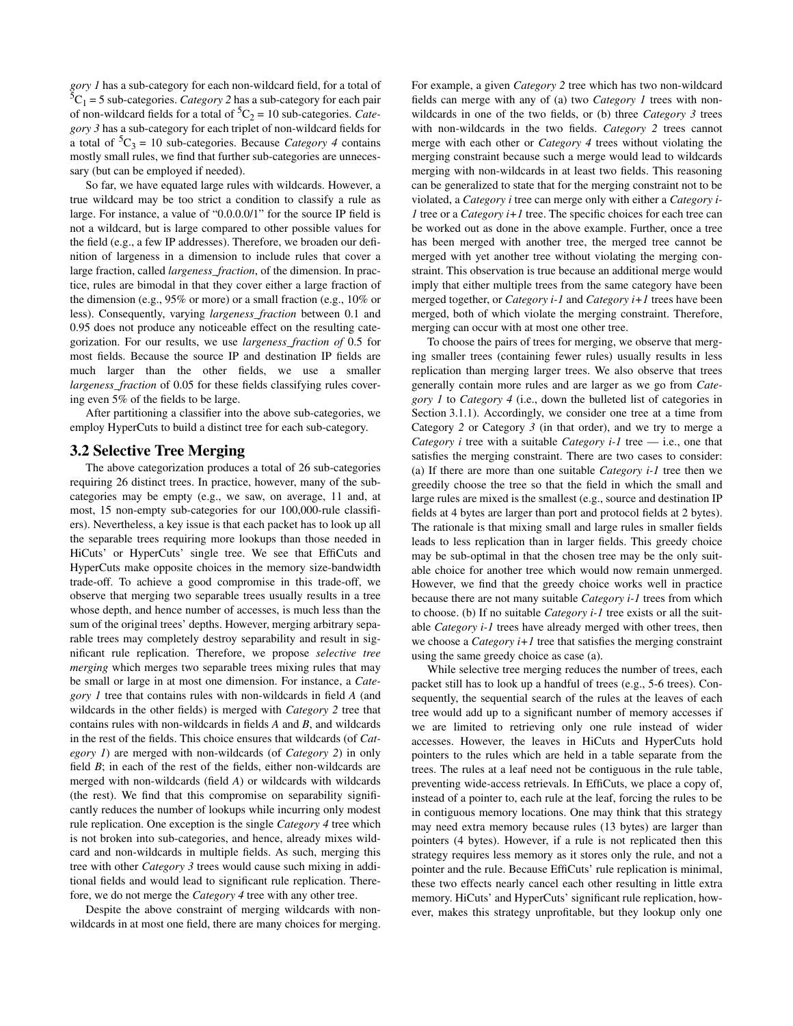*gory 1* has a sub-category for each non-wildcard field, for a total of  ${}^5C_1$  = 5 sub-categories. *Category 2* has a sub-category for each pair of non-wildcard fields for a total of  ${}^5C_2 = 10$  sub-categories. *Category 3* has a sub-category for each triplet of non-wildcard fields for a total of  ${}^5C_3 = 10$  sub-categories. Because *Category 4* contains mostly small rules, we find that further sub-categories are unnecessary (but can be employed if needed).

So far, we have equated large rules with wildcards. However, a true wildcard may be too strict a condition to classify a rule as large. For instance, a value of "0.0.0.0/1" for the source IP field is not a wildcard, but is large compared to other possible values for the field (e.g., a few IP addresses). Therefore, we broaden our definition of largeness in a dimension to include rules that cover a large fraction, called *largeness\_fraction*, of the dimension. In practice, rules are bimodal in that they cover either a large fraction of the dimension (e.g., 95% or more) or a small fraction (e.g., 10% or less). Consequently, varying *largeness\_fraction* between 0.1 and 0.95 does not produce any noticeable effect on the resulting categorization. For our results, we use *largeness\_fraction of* 0.5 for most fields. Because the source IP and destination IP fields are much larger than the other fields, we use a smaller *largeness\_fraction* of 0.05 for these fields classifying rules covering even 5% of the fields to be large.

After partitioning a classifier into the above sub-categories, we employ HyperCuts to build a distinct tree for each sub-category.

# <span id="page-4-0"></span>**3.2 Selective Tree Merging**

The above categorization produces a total of 26 sub-categories requiring 26 distinct trees. In practice, however, many of the subcategories may be empty (e.g., we saw, on average, 11 and, at most, 15 non-empty sub-categories for our 100,000-rule classifiers). Nevertheless, a key issue is that each packet has to look up all the separable trees requiring more lookups than those needed in HiCuts' or HyperCuts' single tree. We see that EffiCuts and HyperCuts make opposite choices in the memory size-bandwidth trade-off. To achieve a good compromise in this trade-off, we observe that merging two separable trees usually results in a tree whose depth, and hence number of accesses, is much less than the sum of the original trees' depths. However, merging arbitrary separable trees may completely destroy separability and result in significant rule replication. Therefore, we propose *selective tree merging* which merges two separable trees mixing rules that may be small or large in at most one dimension. For instance, a *Category 1* tree that contains rules with non-wildcards in field *A* (and wildcards in the other fields) is merged with *Category 2* tree that contains rules with non-wildcards in fields *A* and *B*, and wildcards in the rest of the fields. This choice ensures that wildcards (of *Category 1*) are merged with non-wildcards (of *Category 2*) in only field *B*; in each of the rest of the fields, either non-wildcards are merged with non-wildcards (field *A*) or wildcards with wildcards (the rest). We find that this compromise on separability significantly reduces the number of lookups while incurring only modest rule replication. One exception is the single *Category 4* tree which is not broken into sub-categories, and hence, already mixes wildcard and non-wildcards in multiple fields. As such, merging this tree with other *Category 3* trees would cause such mixing in additional fields and would lead to significant rule replication. Therefore, we do not merge the *Category 4* tree with any other tree.

Despite the above constraint of merging wildcards with nonwildcards in at most one field, there are many choices for merging. For example, a given *Category 2* tree which has two non-wildcard fields can merge with any of (a) two *Category 1* trees with nonwildcards in one of the two fields, or (b) three *Category 3* trees with non-wildcards in the two fields. *Category 2* trees cannot merge with each other or *Category 4* trees without violating the merging constraint because such a merge would lead to wildcards merging with non-wildcards in at least two fields. This reasoning can be generalized to state that for the merging constraint not to be violated, a *Category i* tree can merge only with either a *Category i-1* tree or a *Category i+1* tree. The specific choices for each tree can be worked out as done in the above example. Further, once a tree has been merged with another tree, the merged tree cannot be merged with yet another tree without violating the merging constraint. This observation is true because an additional merge would imply that either multiple trees from the same category have been merged together, or *Category i-1* and *Category i+1* trees have been merged, both of which violate the merging constraint. Therefore, merging can occur with at most one other tree.

To choose the pairs of trees for merging, we observe that merging smaller trees (containing fewer rules) usually results in less replication than merging larger trees. We also observe that trees generally contain more rules and are larger as we go from *Category 1* to *Category 4* (i.e., down the bulleted list of categories in [Section 3.1.1](#page-3-2)). Accordingly, we consider one tree at a time from Category *2* or Category *3* (in that order), and we try to merge a *Category i* tree with a suitable *Category i-1* tree — i.e., one that satisfies the merging constraint. There are two cases to consider: (a) If there are more than one suitable *Category i-1* tree then we greedily choose the tree so that the field in which the small and large rules are mixed is the smallest (e.g., source and destination IP fields at 4 bytes are larger than port and protocol fields at 2 bytes). The rationale is that mixing small and large rules in smaller fields leads to less replication than in larger fields. This greedy choice may be sub-optimal in that the chosen tree may be the only suitable choice for another tree which would now remain unmerged. However, we find that the greedy choice works well in practice because there are not many suitable *Category i-1* trees from which to choose. (b) If no suitable *Category i-1* tree exists or all the suitable *Category i-1* trees have already merged with other trees, then we choose a *Category i+1* tree that satisfies the merging constraint using the same greedy choice as case (a).

While selective tree merging reduces the number of trees, each packet still has to look up a handful of trees (e.g., 5-6 trees). Consequently, the sequential search of the rules at the leaves of each tree would add up to a significant number of memory accesses if we are limited to retrieving only one rule instead of wider accesses. However, the leaves in HiCuts and HyperCuts hold pointers to the rules which are held in a table separate from the trees. The rules at a leaf need not be contiguous in the rule table, preventing wide-access retrievals. In EffiCuts, we place a copy of, instead of a pointer to, each rule at the leaf, forcing the rules to be in contiguous memory locations. One may think that this strategy may need extra memory because rules (13 bytes) are larger than pointers (4 bytes). However, if a rule is not replicated then this strategy requires less memory as it stores only the rule, and not a pointer and the rule. Because EffiCuts' rule replication is minimal, these two effects nearly cancel each other resulting in little extra memory. HiCuts' and HyperCuts' significant rule replication, however, makes this strategy unprofitable, but they lookup only one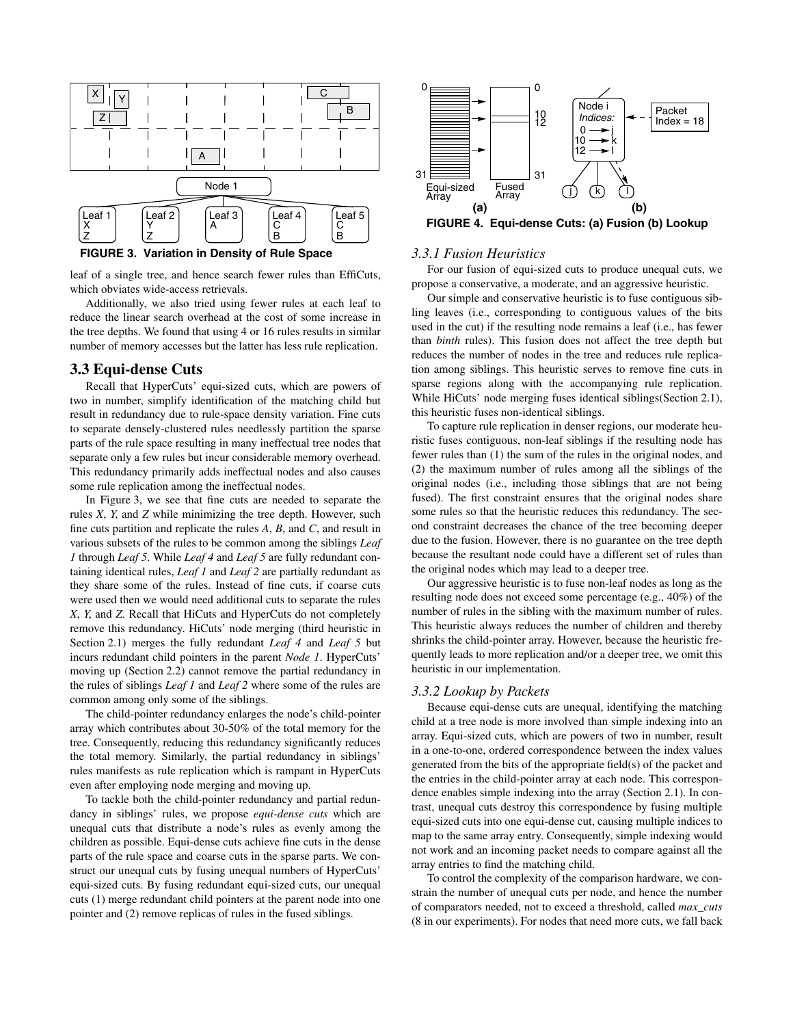

**FIGURE 3. Variation in Density of Rule Space**

<span id="page-5-1"></span>leaf of a single tree, and hence search fewer rules than EffiCuts, which obviates wide-access retrievals.

Additionally, we also tried using fewer rules at each leaf to reduce the linear search overhead at the cost of some increase in the tree depths. We found that using 4 or 16 rules results in similar number of memory accesses but the latter has less rule replication.

# <span id="page-5-0"></span>**3.3 Equi-dense Cuts**

Recall that HyperCuts' equi-sized cuts, which are powers of two in number, simplify identification of the matching child but result in redundancy due to rule-space density variation. Fine cuts to separate densely-clustered rules needlessly partition the sparse parts of the rule space resulting in many ineffectual tree nodes that separate only a few rules but incur considerable memory overhead. This redundancy primarily adds ineffectual nodes and also causes some rule replication among the ineffectual nodes.

In [Figure 3,](#page-5-1) we see that fine cuts are needed to separate the rules *X*, *Y*, and *Z* while minimizing the tree depth. However, such fine cuts partition and replicate the rules *A*, *B*, and *C*, and result in various subsets of the rules to be common among the siblings *Leaf 1* through *Leaf 5*. While *Leaf 4* and *Leaf 5* are fully redundant containing identical rules, *Leaf 1* and *Leaf 2* are partially redundant as they share some of the rules. Instead of fine cuts, if coarse cuts were used then we would need additional cuts to separate the rules *X*, *Y*, and *Z*. Recall that HiCuts and HyperCuts do not completely remove this redundancy. HiCuts' node merging (third heuristic in [Section 2.1](#page-1-1)) merges the fully redundant *Leaf 4* and *Leaf 5* but incurs redundant child pointers in the parent *Node 1*. HyperCuts' moving up [\(Section 2.2\)](#page-2-1) cannot remove the partial redundancy in the rules of siblings *Leaf 1* and *Leaf 2* where some of the rules are common among only some of the siblings.

The child-pointer redundancy enlarges the node's child-pointer array which contributes about 30-50% of the total memory for the tree. Consequently, reducing this redundancy significantly reduces the total memory. Similarly, the partial redundancy in siblings' rules manifests as rule replication which is rampant in HyperCuts even after employing node merging and moving up.

To tackle both the child-pointer redundancy and partial redundancy in siblings' rules, we propose *equi-dense cuts* which are unequal cuts that distribute a node's rules as evenly among the children as possible. Equi-dense cuts achieve fine cuts in the dense parts of the rule space and coarse cuts in the sparse parts. We construct our unequal cuts by fusing unequal numbers of HyperCuts' equi-sized cuts. By fusing redundant equi-sized cuts, our unequal cuts (1) merge redundant child pointers at the parent node into one pointer and (2) remove replicas of rules in the fused siblings.



<span id="page-5-2"></span>**FIGURE 4. Equi-dense Cuts: (a) Fusion (b) Lookup**

#### *3.3.1 Fusion Heuristics*

For our fusion of equi-sized cuts to produce unequal cuts, we propose a conservative, a moderate, and an aggressive heuristic.

Our simple and conservative heuristic is to fuse contiguous sibling leaves (i.e., corresponding to contiguous values of the bits used in the cut) if the resulting node remains a leaf (i.e., has fewer than *binth* rules). This fusion does not affect the tree depth but reduces the number of nodes in the tree and reduces rule replication among siblings. This heuristic serves to remove fine cuts in sparse regions along with the accompanying rule replication. While HiCuts' node merging fuses identical siblings[\(Section 2.1\)](#page-1-1), this heuristic fuses non-identical siblings.

To capture rule replication in denser regions, our moderate heuristic fuses contiguous, non-leaf siblings if the resulting node has fewer rules than (1) the sum of the rules in the original nodes, and (2) the maximum number of rules among all the siblings of the original nodes (i.e., including those siblings that are not being fused). The first constraint ensures that the original nodes share some rules so that the heuristic reduces this redundancy. The second constraint decreases the chance of the tree becoming deeper due to the fusion. However, there is no guarantee on the tree depth because the resultant node could have a different set of rules than the original nodes which may lead to a deeper tree.

Our aggressive heuristic is to fuse non-leaf nodes as long as the resulting node does not exceed some percentage (e.g., 40%) of the number of rules in the sibling with the maximum number of rules. This heuristic always reduces the number of children and thereby shrinks the child-pointer array. However, because the heuristic frequently leads to more replication and/or a deeper tree, we omit this heuristic in our implementation.

#### *3.3.2 Lookup by Packets*

Because equi-dense cuts are unequal, identifying the matching child at a tree node is more involved than simple indexing into an array. Equi-sized cuts, which are powers of two in number, result in a one-to-one, ordered correspondence between the index values generated from the bits of the appropriate field(s) of the packet and the entries in the child-pointer array at each node. This correspondence enables simple indexing into the array [\(Section 2.1\)](#page-1-1). In contrast, unequal cuts destroy this correspondence by fusing multiple equi-sized cuts into one equi-dense cut, causing multiple indices to map to the same array entry. Consequently, simple indexing would not work and an incoming packet needs to compare against all the array entries to find the matching child.

To control the complexity of the comparison hardware, we constrain the number of unequal cuts per node, and hence the number of comparators needed, not to exceed a threshold, called *max\_cuts* (8 in our experiments). For nodes that need more cuts, we fall back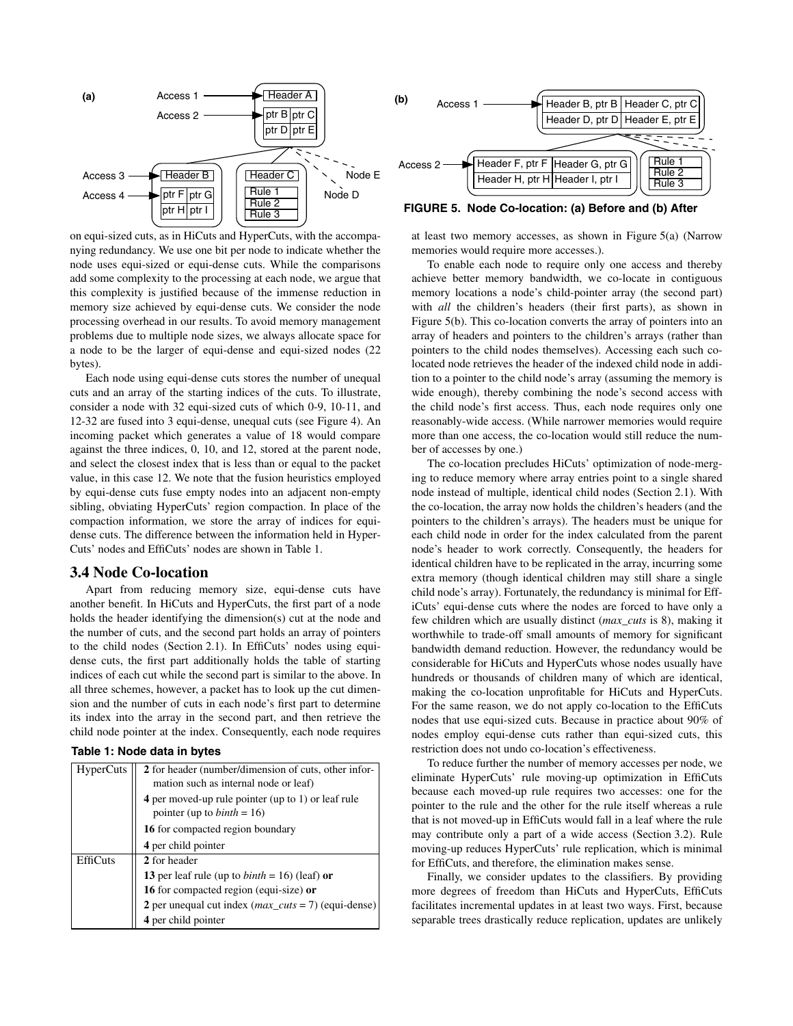

on equi-sized cuts, as in HiCuts and HyperCuts, with the accompanying redundancy. We use one bit per node to indicate whether the node uses equi-sized or equi-dense cuts. While the comparisons add some complexity to the processing at each node, we argue that this complexity is justified because of the immense reduction in memory size achieved by equi-dense cuts. We consider the node processing overhead in our results. To avoid memory management problems due to multiple node sizes, we always allocate space for a node to be the larger of equi-dense and equi-sized nodes (22 bytes).

Each node using equi-dense cuts stores the number of unequal cuts and an array of the starting indices of the cuts. To illustrate, consider a node with 32 equi-sized cuts of which 0-9, 10-11, and 12-32 are fused into 3 equi-dense, unequal cuts (see [Figure 4](#page-5-2)). An incoming packet which generates a value of 18 would compare against the three indices, 0, 10, and 12, stored at the parent node, and select the closest index that is less than or equal to the packet value, in this case 12. We note that the fusion heuristics employed by equi-dense cuts fuse empty nodes into an adjacent non-empty sibling, obviating HyperCuts' region compaction. In place of the compaction information, we store the array of indices for equidense cuts. The difference between the information held in Hyper-Cuts' nodes and EffiCuts' nodes are shown in [Table 1](#page-6-0).

#### <span id="page-6-2"></span>**3.4 Node Co-location**

Apart from reducing memory size, equi-dense cuts have another benefit. In HiCuts and HyperCuts, the first part of a node holds the header identifying the dimension(s) cut at the node and the number of cuts, and the second part holds an array of pointers to the child nodes ([Section 2.1](#page-1-1)). In EffiCuts' nodes using equidense cuts, the first part additionally holds the table of starting indices of each cut while the second part is similar to the above. In all three schemes, however, a packet has to look up the cut dimension and the number of cuts in each node's first part to determine its index into the array in the second part, and then retrieve the child node pointer at the index. Consequently, each node requires

<span id="page-6-0"></span>**Table 1: Node data in bytes**

| <b>HyperCuts</b> | 2 for header (number/dimension of cuts, other infor-<br>mation such as internal node or leaf)  |
|------------------|------------------------------------------------------------------------------------------------|
|                  | <b>4</b> per moved-up rule pointer (up to 1) or leaf rule<br>pointer (up to <i>binth</i> = 16) |
|                  | 16 for compacted region boundary                                                               |
|                  | 4 per child pointer                                                                            |
| <b>EffiCuts</b>  | 2 for header                                                                                   |
|                  | 13 per leaf rule (up to <i>binth</i> = 16) (leaf) or                                           |
|                  | <b>16</b> for compacted region (equi-size) or                                                  |
|                  | 2 per unequal cut index $(max\_cuts = 7)$ (equi-dense)                                         |
|                  | 4 per child pointer                                                                            |



<span id="page-6-1"></span>**FIGURE 5. Node Co-location: (a) Before and (b) After**

at least two memory accesses, as shown in [Figure 5](#page-6-1)(a) (Narrow memories would require more accesses.).

To enable each node to require only one access and thereby achieve better memory bandwidth, we co-locate in contiguous memory locations a node's child-pointer array (the second part) with *all* the children's headers (their first parts), as shown in [Figure 5](#page-6-1)(b). This co-location converts the array of pointers into an array of headers and pointers to the children's arrays (rather than pointers to the child nodes themselves). Accessing each such colocated node retrieves the header of the indexed child node in addition to a pointer to the child node's array (assuming the memory is wide enough), thereby combining the node's second access with the child node's first access. Thus, each node requires only one reasonably-wide access. (While narrower memories would require more than one access, the co-location would still reduce the number of accesses by one.)

The co-location precludes HiCuts' optimization of node-merging to reduce memory where array entries point to a single shared node instead of multiple, identical child nodes ([Section 2.1](#page-1-1)). With the co-location, the array now holds the children's headers (and the pointers to the children's arrays). The headers must be unique for each child node in order for the index calculated from the parent node's header to work correctly. Consequently, the headers for identical children have to be replicated in the array, incurring some extra memory (though identical children may still share a single child node's array). Fortunately, the redundancy is minimal for EffiCuts' equi-dense cuts where the nodes are forced to have only a few children which are usually distinct (*max\_cuts* is 8), making it worthwhile to trade-off small amounts of memory for significant bandwidth demand reduction. However, the redundancy would be considerable for HiCuts and HyperCuts whose nodes usually have hundreds or thousands of children many of which are identical, making the co-location unprofitable for HiCuts and HyperCuts. For the same reason, we do not apply co-location to the EffiCuts nodes that use equi-sized cuts. Because in practice about 90% of nodes employ equi-dense cuts rather than equi-sized cuts, this restriction does not undo co-location's effectiveness.

To reduce further the number of memory accesses per node, we eliminate HyperCuts' rule moving-up optimization in EffiCuts because each moved-up rule requires two accesses: one for the pointer to the rule and the other for the rule itself whereas a rule that is not moved-up in EffiCuts would fall in a leaf where the rule may contribute only a part of a wide access ([Section 3.2](#page-4-0)). Rule moving-up reduces HyperCuts' rule replication, which is minimal for EffiCuts, and therefore, the elimination makes sense.

Finally, we consider updates to the classifiers. By providing more degrees of freedom than HiCuts and HyperCuts, EffiCuts facilitates incremental updates in at least two ways. First, because separable trees drastically reduce replication, updates are unlikely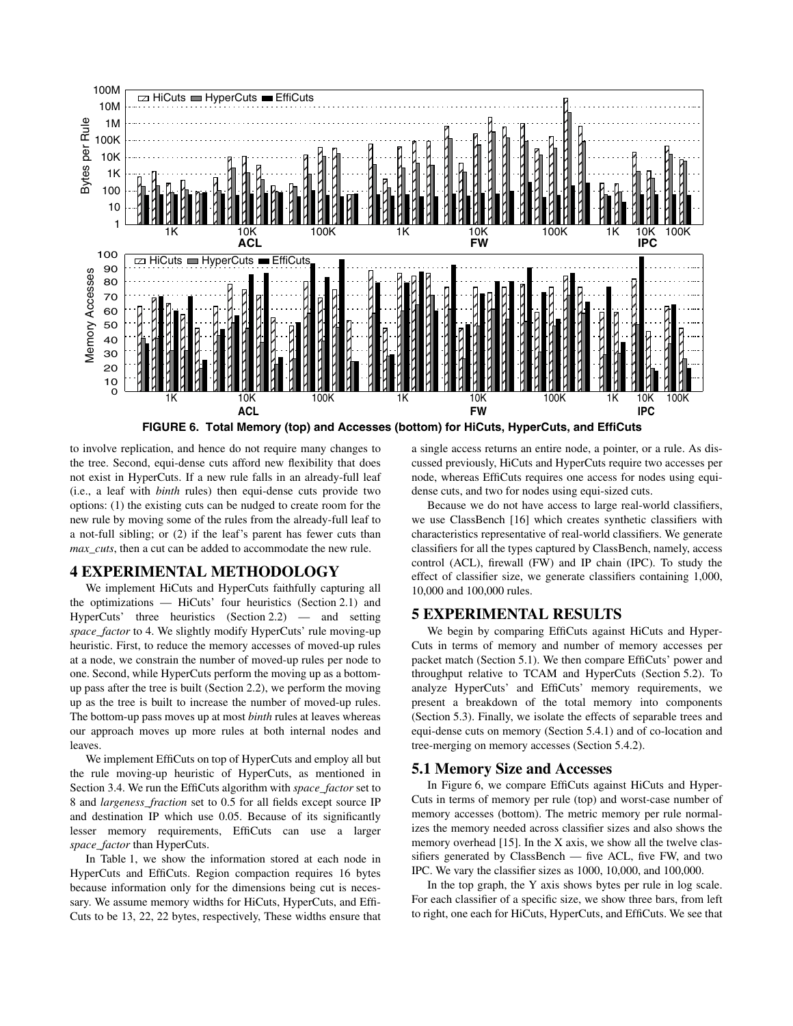

<span id="page-7-3"></span>to involve replication, and hence do not require many changes to the tree. Second, equi-dense cuts afford new flexibility that does not exist in HyperCuts. If a new rule falls in an already-full leaf (i.e., a leaf with *binth* rules) then equi-dense cuts provide two options: (1) the existing cuts can be nudged to create room for the new rule by moving some of the rules from the already-full leaf to a not-full sibling; or (2) if the leaf's parent has fewer cuts than *max\_cuts*, then a cut can be added to accommodate the new rule.

# <span id="page-7-0"></span>**4 EXPERIMENTAL METHODOLOGY**

We implement HiCuts and HyperCuts faithfully capturing all the optimizations — HiCuts' four heuristics ([Section 2.1](#page-1-1)) and HyperCuts' three heuristics [\(Section 2.2\)](#page-2-1) — and setting *space\_factor* to 4. We slightly modify HyperCuts' rule moving-up heuristic. First, to reduce the memory accesses of moved-up rules at a node, we constrain the number of moved-up rules per node to one. Second, while HyperCuts perform the moving up as a bottomup pass after the tree is built [\(Section 2.2\)](#page-2-1), we perform the moving up as the tree is built to increase the number of moved-up rules. The bottom-up pass moves up at most *binth* rules at leaves whereas our approach moves up more rules at both internal nodes and leaves.

We implement EffiCuts on top of HyperCuts and employ all but the rule moving-up heuristic of HyperCuts, as mentioned in [Section 3.4](#page-6-2). We run the EffiCuts algorithm with *space\_factor* set to 8 and *largeness\_fraction* set to 0.5 for all fields except source IP and destination IP which use 0.05. Because of its significantly lesser memory requirements, EffiCuts can use a larger *space\_factor* than HyperCuts.

In [Table 1](#page-6-0), we show the information stored at each node in HyperCuts and EffiCuts. Region compaction requires 16 bytes because information only for the dimensions being cut is necessary. We assume memory widths for HiCuts, HyperCuts, and Effi-Cuts to be 13, 22, 22 bytes, respectively, These widths ensure that

a single access returns an entire node, a pointer, or a rule. As discussed previously, HiCuts and HyperCuts require two accesses per node, whereas EffiCuts requires one access for nodes using equidense cuts, and two for nodes using equi-sized cuts.

Because we do not have access to large real-world classifiers, we use ClassBench [16] which creates synthetic classifiers with characteristics representative of real-world classifiers. We generate classifiers for all the types captured by ClassBench, namely, access control (ACL), firewall (FW) and IP chain (IPC). To study the effect of classifier size, we generate classifiers containing 1,000, 10,000 and 100,000 rules.

# <span id="page-7-1"></span>**5 EXPERIMENTAL RESULTS**

We begin by comparing EffiCuts against HiCuts and Hyper-Cuts in terms of memory and number of memory accesses per packet match [\(Section 5.1\)](#page-7-2). We then compare EffiCuts' power and throughput relative to TCAM and HyperCuts ([Section 5.2](#page-8-0)). To analyze HyperCuts' and EffiCuts' memory requirements, we present a breakdown of the total memory into components ([Section 5.3](#page-9-0)). Finally, we isolate the effects of separable trees and equi-dense cuts on memory ([Section 5.4.1\)](#page-10-1) and of co-location and tree-merging on memory accesses ([Section 5.4.2\)](#page-10-2).

#### <span id="page-7-2"></span>**5.1 Memory Size and Accesses**

In [Figure 6](#page-7-3), we compare EffiCuts against HiCuts and Hyper-Cuts in terms of memory per rule (top) and worst-case number of memory accesses (bottom). The metric memory per rule normalizes the memory needed across classifier sizes and also shows the memory overhead [15]. In the X axis, we show all the twelve classifiers generated by ClassBench — five ACL, five FW, and two IPC. We vary the classifier sizes as 1000, 10,000, and 100,000.

In the top graph, the Y axis shows bytes per rule in log scale. For each classifier of a specific size, we show three bars, from left to right, one each for HiCuts, HyperCuts, and EffiCuts. We see that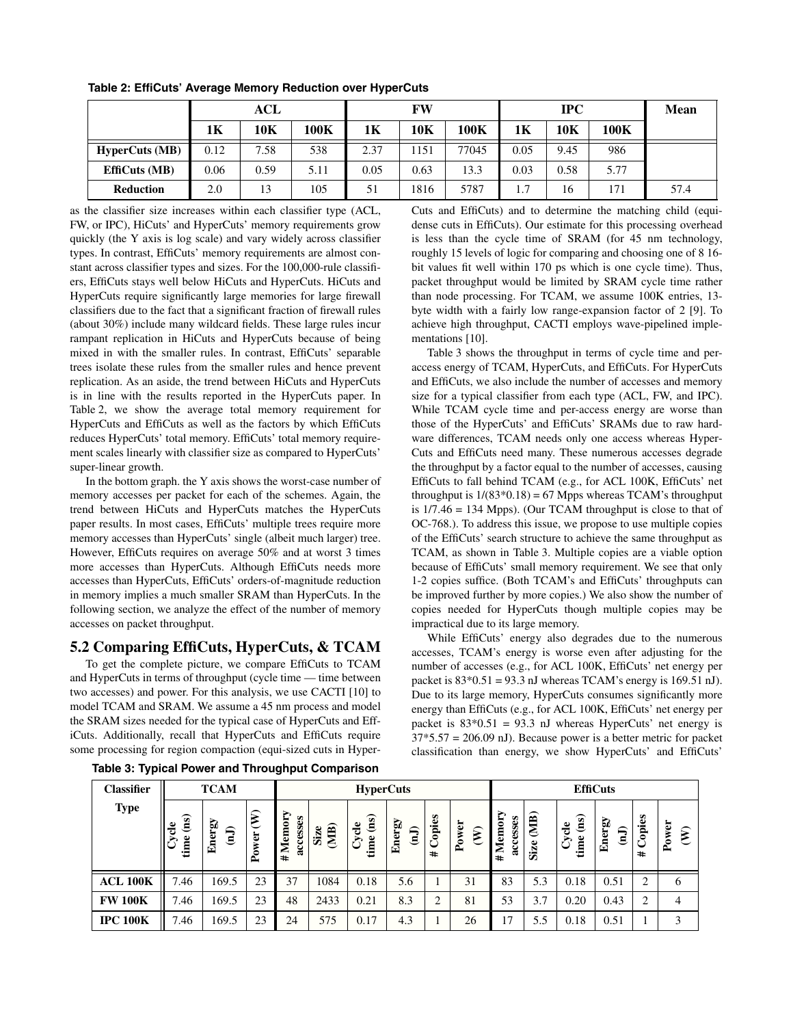|                      | ACL  |      |      | FW   |      |       |      | Mean |      |      |
|----------------------|------|------|------|------|------|-------|------|------|------|------|
|                      | 1К   | 10K  | 100K | 1К   | 10K  | 100K  | 1К   | 10K  | 100K |      |
| HyperCuts (MB)       | 0.12 | 7.58 | 538  | 2.37 | 151  | 77045 | 0.05 | 9.45 | 986  |      |
| <b>EffiCuts</b> (MB) | 0.06 | 0.59 | 5.11 | 0.05 | 0.63 | 13.3  | 0.03 | 0.58 | 5.77 |      |
| <b>Reduction</b>     | 2.0  | 13   | 105  | 51   | 1816 | 5787  | 1.7  | 16   | 171  | 57.4 |

<span id="page-8-1"></span>**Table 2: EffiCuts' Average Memory Reduction over HyperCuts**

as the classifier size increases within each classifier type (ACL, FW, or IPC), HiCuts' and HyperCuts' memory requirements grow quickly (the Y axis is log scale) and vary widely across classifier types. In contrast, EffiCuts' memory requirements are almost constant across classifier types and sizes. For the 100,000-rule classifiers, EffiCuts stays well below HiCuts and HyperCuts. HiCuts and HyperCuts require significantly large memories for large firewall classifiers due to the fact that a significant fraction of firewall rules (about 30%) include many wildcard fields. These large rules incur rampant replication in HiCuts and HyperCuts because of being mixed in with the smaller rules. In contrast, EffiCuts' separable trees isolate these rules from the smaller rules and hence prevent replication. As an aside, the trend between HiCuts and HyperCuts is in line with the results reported in the HyperCuts paper. In [Table 2,](#page-8-1) we show the average total memory requirement for HyperCuts and EffiCuts as well as the factors by which EffiCuts reduces HyperCuts' total memory. EffiCuts' total memory requirement scales linearly with classifier size as compared to HyperCuts' super-linear growth.

In the bottom graph. the Y axis shows the worst-case number of memory accesses per packet for each of the schemes. Again, the trend between HiCuts and HyperCuts matches the HyperCuts paper results. In most cases, EffiCuts' multiple trees require more memory accesses than HyperCuts' single (albeit much larger) tree. However, EffiCuts requires on average 50% and at worst 3 times more accesses than HyperCuts. Although EffiCuts needs more accesses than HyperCuts, EffiCuts' orders-of-magnitude reduction in memory implies a much smaller SRAM than HyperCuts. In the following section, we analyze the effect of the number of memory accesses on packet throughput.

# <span id="page-8-0"></span>**5.2 Comparing EffiCuts, HyperCuts, & TCAM**

To get the complete picture, we compare EffiCuts to TCAM and HyperCuts in terms of throughput (cycle time — time between two accesses) and power. For this analysis, we use CACTI [10] to model TCAM and SRAM. We assume a 45 nm process and model the SRAM sizes needed for the typical case of HyperCuts and EffiCuts. Additionally, recall that HyperCuts and EffiCuts require some processing for region compaction (equi-sized cuts in HyperCuts and EffiCuts) and to determine the matching child (equidense cuts in EffiCuts). Our estimate for this processing overhead is less than the cycle time of SRAM (for 45 nm technology, roughly 15 levels of logic for comparing and choosing one of 8 16 bit values fit well within 170 ps which is one cycle time). Thus, packet throughput would be limited by SRAM cycle time rather than node processing. For TCAM, we assume 100K entries, 13 byte width with a fairly low range-expansion factor of 2 [9]. To achieve high throughput, CACTI employs wave-pipelined implementations [10].

[Table 3](#page-8-2) shows the throughput in terms of cycle time and peraccess energy of TCAM, HyperCuts, and EffiCuts. For HyperCuts and EffiCuts, we also include the number of accesses and memory size for a typical classifier from each type (ACL, FW, and IPC). While TCAM cycle time and per-access energy are worse than those of the HyperCuts' and EffiCuts' SRAMs due to raw hardware differences, TCAM needs only one access whereas Hyper-Cuts and EffiCuts need many. These numerous accesses degrade the throughput by a factor equal to the number of accesses, causing EffiCuts to fall behind TCAM (e.g., for ACL 100K, EffiCuts' net throughput is  $1/(83*0.18) = 67$  Mpps whereas TCAM's throughput is 1/7.46 = 134 Mpps). (Our TCAM throughput is close to that of OC-768.). To address this issue, we propose to use multiple copies of the EffiCuts' search structure to achieve the same throughput as TCAM, as shown in [Table 3.](#page-8-2) Multiple copies are a viable option because of EffiCuts' small memory requirement. We see that only 1-2 copies suffice. (Both TCAM's and EffiCuts' throughputs can be improved further by more copies.) We also show the number of copies needed for HyperCuts though multiple copies may be impractical due to its large memory.

While EffiCuts' energy also degrades due to the numerous accesses, TCAM's energy is worse even after adjusting for the number of accesses (e.g., for ACL 100K, EffiCuts' net energy per packet is  $83*0.51 = 93.3$  nJ whereas TCAM's energy is 169.51 nJ). Due to its large memory, HyperCuts consumes significantly more energy than EffiCuts (e.g., for ACL 100K, EffiCuts' net energy per packet is  $83*0.51 = 93.3$  nJ whereas HyperCuts' net energy is  $37*5.57 = 206.09$  nJ). Because power is a better metric for packet classification than energy, we show HyperCuts' and EffiCuts'

| <b>Classifier</b> |                                                 | <b>TCAM</b>            |                        | <b>HyperCuts</b>            |              |                                     |                          |             | <b>EffiCuts</b>            |                         |                     |                               |                        |                    |            |
|-------------------|-------------------------------------------------|------------------------|------------------------|-----------------------------|--------------|-------------------------------------|--------------------------|-------------|----------------------------|-------------------------|---------------------|-------------------------------|------------------------|--------------------|------------|
| <b>Type</b>       | $\sum_{i=1}^{n}$<br>ಕೆ<br>time<br>$\mathcal{L}$ | Energy<br>$\mathbf{G}$ | $\mathcal{E}$<br>Power | Memory<br>sses<br>acce<br># | (MB)<br>Size | (ns)<br>$\ddot{\textbf{c}}$<br>time | Energy<br>$\binom{n}{k}$ | Copies<br># | Power<br>$\widehat{\bm s}$ | Memory<br>accesses<br># | (MB)<br><b>Size</b> | $\mathbf{a}$<br>Cycle<br>time | Energy<br>$\mathbf{f}$ | Copies<br>#        | Power<br>≅ |
| <b>ACL 100K</b>   | '.46                                            | 169.5                  | 23                     | 37                          | 1084         | 0.18                                | 5.6                      |             | 31                         | 83                      | 5.3                 | 0.18                          | 0.51                   | $\mathcal{L}$      | 6          |
| <b>FW 100K</b>    | '.46                                            | 169.5                  | 23                     | 48                          | 2433         | 0.21                                | 8.3                      | ◠           | 81                         | 53                      | 3.7                 | 0.20                          | 0.43                   | $\mathcal{L}$<br>∠ | 4          |
| <b>IPC 100K</b>   | '.46                                            | 169.5                  | 23                     | 24                          | 575          | 0.17                                | 4.3                      |             | 26                         | 17                      | 5.5                 | 0.18                          | 0.51                   |                    | 3          |

<span id="page-8-2"></span>**Table 3: Typical Power and Throughput Comparison**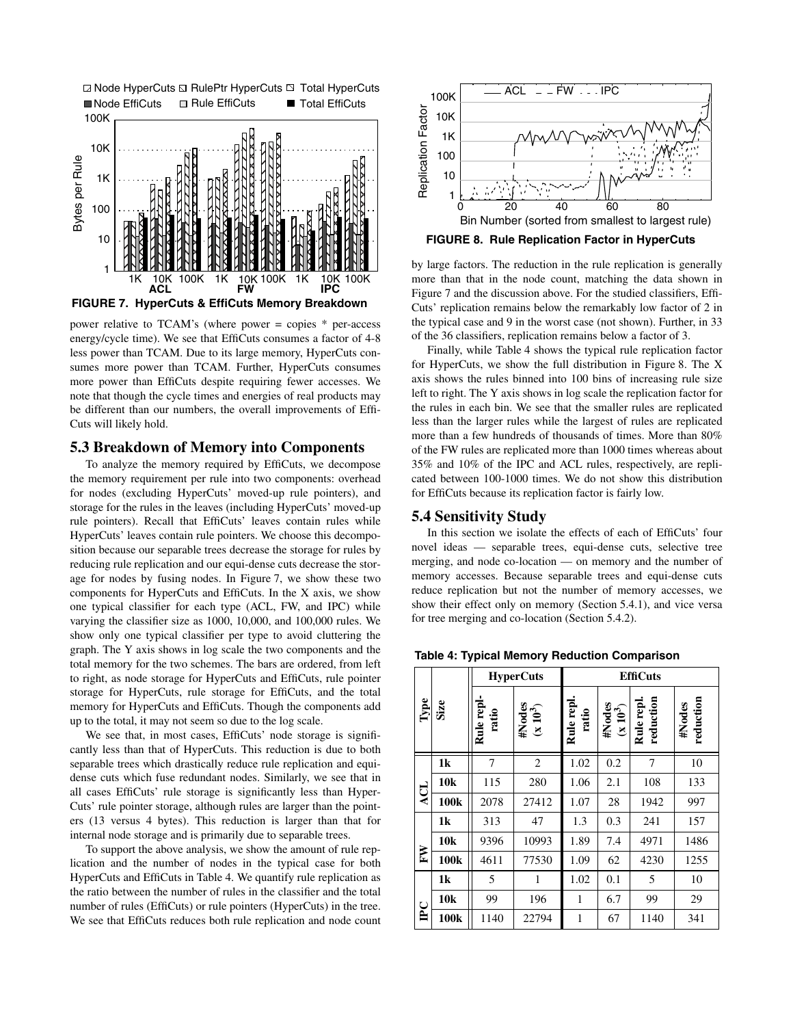

<span id="page-9-1"></span>**FIGURE 7. HyperCuts & EffiCuts Memory Breakdown**

power relative to TCAM's (where power = copies \* per-access energy/cycle time). We see that EffiCuts consumes a factor of 4-8 less power than TCAM. Due to its large memory, HyperCuts consumes more power than TCAM. Further, HyperCuts consumes more power than EffiCuts despite requiring fewer accesses. We note that though the cycle times and energies of real products may be different than our numbers, the overall improvements of Effi-Cuts will likely hold.

#### <span id="page-9-0"></span>**5.3 Breakdown of Memory into Components**

To analyze the memory required by EffiCuts, we decompose the memory requirement per rule into two components: overhead for nodes (excluding HyperCuts' moved-up rule pointers), and storage for the rules in the leaves (including HyperCuts' moved-up rule pointers). Recall that EffiCuts' leaves contain rules while HyperCuts' leaves contain rule pointers. We choose this decomposition because our separable trees decrease the storage for rules by reducing rule replication and our equi-dense cuts decrease the storage for nodes by fusing nodes. In [Figure 7](#page-9-1), we show these two components for HyperCuts and EffiCuts. In the X axis, we show one typical classifier for each type (ACL, FW, and IPC) while varying the classifier size as 1000, 10,000, and 100,000 rules. We show only one typical classifier per type to avoid cluttering the graph. The Y axis shows in log scale the two components and the total memory for the two schemes. The bars are ordered, from left to right, as node storage for HyperCuts and EffiCuts, rule pointer storage for HyperCuts, rule storage for EffiCuts, and the total memory for HyperCuts and EffiCuts. Though the components add up to the total, it may not seem so due to the log scale.

We see that, in most cases, EffiCuts' node storage is significantly less than that of HyperCuts. This reduction is due to both separable trees which drastically reduce rule replication and equidense cuts which fuse redundant nodes. Similarly, we see that in all cases EffiCuts' rule storage is significantly less than Hyper-Cuts' rule pointer storage, although rules are larger than the pointers (13 versus 4 bytes). This reduction is larger than that for internal node storage and is primarily due to separable trees.

To support the above analysis, we show the amount of rule replication and the number of nodes in the typical case for both HyperCuts and EffiCuts in [Table 4.](#page-9-2) We quantify rule replication as the ratio between the number of rules in the classifier and the total number of rules (EffiCuts) or rule pointers (HyperCuts) in the tree. We see that EffiCuts reduces both rule replication and node count



<span id="page-9-3"></span>by large factors. The reduction in the rule replication is generally more than that in the node count, matching the data shown in [Figure 7](#page-9-1) and the discussion above. For the studied classifiers, Effi-Cuts' replication remains below the remarkably low factor of 2 in the typical case and 9 in the worst case (not shown). Further, in 33 of the 36 classifiers, replication remains below a factor of 3.

Finally, while [Table 4](#page-9-2) shows the typical rule replication factor for HyperCuts, we show the full distribution in [Figure 8](#page-9-3). The X axis shows the rules binned into 100 bins of increasing rule size left to right. The Y axis shows in log scale the replication factor for the rules in each bin. We see that the smaller rules are replicated less than the larger rules while the largest of rules are replicated more than a few hundreds of thousands of times. More than 80% of the FW rules are replicated more than 1000 times whereas about 35% and 10% of the IPC and ACL rules, respectively, are replicated between 100-1000 times. We do not show this distribution for EffiCuts because its replication factor is fairly low.

# **5.4 Sensitivity Study**

In this section we isolate the effects of each of EffiCuts' four novel ideas — separable trees, equi-dense cuts, selective tree merging, and node co-location — on memory and the number of memory accesses. Because separable trees and equi-dense cuts reduce replication but not the number of memory accesses, we show their effect only on memory ([Section 5.4.1\)](#page-10-1), and vice versa for tree merging and co-location [\(Section 5.4.2\)](#page-10-2).

|                |                  |                    | <b>HyperCuts</b>                        | <b>EffiCuts</b>    |                                |                        |                     |  |  |  |
|----------------|------------------|--------------------|-----------------------------------------|--------------------|--------------------------------|------------------------|---------------------|--|--|--|
| Type<br>Size   |                  | Rule repl<br>ratio | $\frac{\text{#Nodes}}{\text{(x 10}^3)}$ | Rule repl<br>ratio | #Nodes<br>$\frac{(x 10^3)}{2}$ | reduction<br>Rule repl | reduction<br>#Nodes |  |  |  |
|                | 1 <sub>k</sub>   | 7                  | 2                                       | 1.02               | 0.2                            | 7                      | 10                  |  |  |  |
|                | 10k              | 115                | 280                                     | 1.06               | 2.1                            | 108                    | 133                 |  |  |  |
| <b>ACL</b>     | 100 <sub>k</sub> | 2078               | 27412                                   | 1.07               | 28                             | 1942                   | 997                 |  |  |  |
|                | 1 <sub>k</sub>   | 313                | 47                                      | 1.3                | 0.3                            | 241                    | 157                 |  |  |  |
|                | 10k              | 9396               | 10993                                   | 1.89<br>7.4        |                                | 4971                   | 1486                |  |  |  |
| FW             | 100 <sub>k</sub> | 4611               | 77530                                   | 1.09               | 62                             | 4230                   | 1255                |  |  |  |
|                | 1 <sub>k</sub>   | 5                  | 1                                       | 1.02               | 0.1                            | 5                      | 10                  |  |  |  |
|                | 10k              | 99                 | 196                                     | 1                  | 6.7                            | 99                     | 29                  |  |  |  |
| P <sub>C</sub> | 100k             | 1140               | 22794                                   | $\mathbf{1}$       | 67                             | 1140                   | 341                 |  |  |  |

<span id="page-9-2"></span>**Table 4: Typical Memory Reduction Comparison**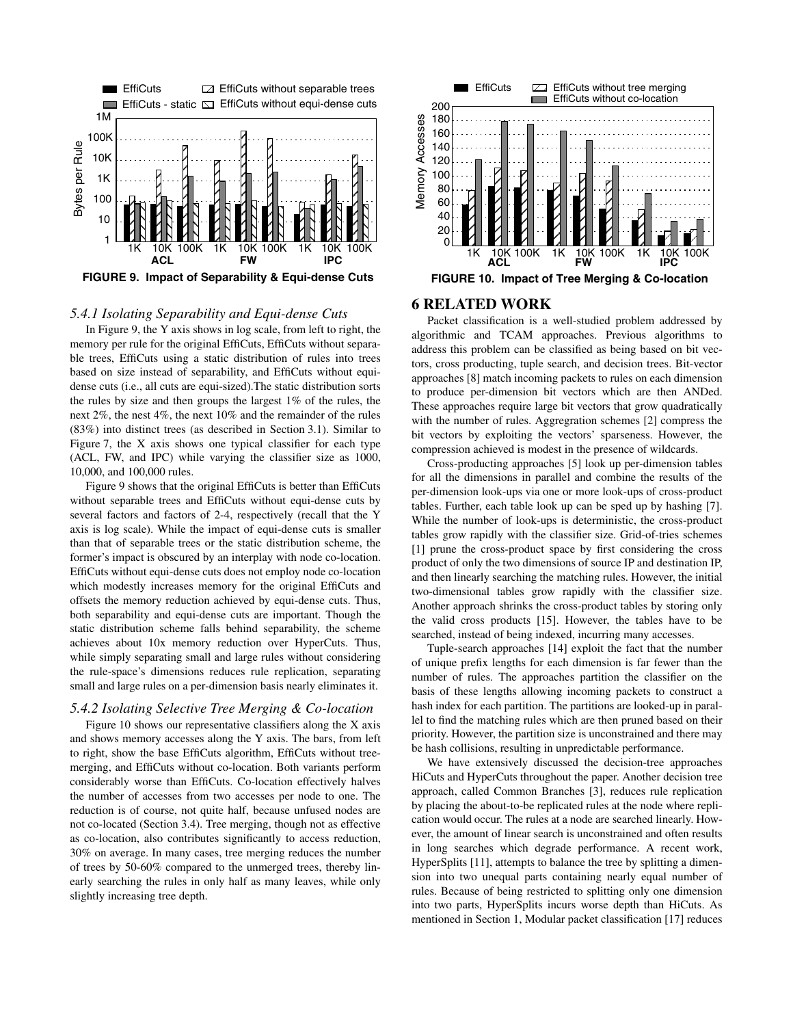

<span id="page-10-3"></span>**FIGURE 9. Impact of Separability & Equi-dense Cuts**

#### <span id="page-10-1"></span>*5.4.1 Isolating Separability and Equi-dense Cuts*

In [Figure 9](#page-10-3), the Y axis shows in log scale, from left to right, the memory per rule for the original EffiCuts, EffiCuts without separable trees, EffiCuts using a static distribution of rules into trees based on size instead of separability, and EffiCuts without equidense cuts (i.e., all cuts are equi-sized).The static distribution sorts the rules by size and then groups the largest 1% of the rules, the next 2%, the nest 4%, the next 10% and the remainder of the rules (83%) into distinct trees (as described in [Section 3.1\)](#page-3-3). Similar to [Figure 7](#page-9-1), the X axis shows one typical classifier for each type (ACL, FW, and IPC) while varying the classifier size as 1000, 10,000, and 100,000 rules.

[Figure 9](#page-10-3) shows that the original EffiCuts is better than EffiCuts without separable trees and EffiCuts without equi-dense cuts by several factors and factors of 2-4, respectively (recall that the Y axis is log scale). While the impact of equi-dense cuts is smaller than that of separable trees or the static distribution scheme, the former's impact is obscured by an interplay with node co-location. EffiCuts without equi-dense cuts does not employ node co-location which modestly increases memory for the original EffiCuts and offsets the memory reduction achieved by equi-dense cuts. Thus, both separability and equi-dense cuts are important. Though the static distribution scheme falls behind separability, the scheme achieves about 10x memory reduction over HyperCuts. Thus, while simply separating small and large rules without considering the rule-space's dimensions reduces rule replication, separating small and large rules on a per-dimension basis nearly eliminates it.

#### <span id="page-10-2"></span>*5.4.2 Isolating Selective Tree Merging & Co-location*

[Figure 10](#page-10-4) shows our representative classifiers along the X axis and shows memory accesses along the Y axis. The bars, from left to right, show the base EffiCuts algorithm, EffiCuts without treemerging, and EffiCuts without co-location. Both variants perform considerably worse than EffiCuts. Co-location effectively halves the number of accesses from two accesses per node to one. The reduction is of course, not quite half, because unfused nodes are not co-located ([Section 3.4](#page-6-2)). Tree merging, though not as effective as co-location, also contributes significantly to access reduction, 30% on average. In many cases, tree merging reduces the number of trees by 50-60% compared to the unmerged trees, thereby linearly searching the rules in only half as many leaves, while only slightly increasing tree depth.



<span id="page-10-4"></span>**FIGURE 10. Impact of Tree Merging & Co-location**

## <span id="page-10-0"></span>**6 RELATED WORK**

Packet classification is a well-studied problem addressed by algorithmic and TCAM approaches. Previous algorithms to address this problem can be classified as being based on bit vectors, cross producting, tuple search, and decision trees. Bit-vector approaches [8] match incoming packets to rules on each dimension to produce per-dimension bit vectors which are then ANDed. These approaches require large bit vectors that grow quadratically with the number of rules. Aggregration schemes [2] compress the bit vectors by exploiting the vectors' sparseness. However, the compression achieved is modest in the presence of wildcards.

Cross-producting approaches [5] look up per-dimension tables for all the dimensions in parallel and combine the results of the per-dimension look-ups via one or more look-ups of cross-product tables. Further, each table look up can be sped up by hashing [7]. While the number of look-ups is deterministic, the cross-product tables grow rapidly with the classifier size. Grid-of-tries schemes [1] prune the cross-product space by first considering the cross product of only the two dimensions of source IP and destination IP, and then linearly searching the matching rules. However, the initial two-dimensional tables grow rapidly with the classifier size. Another approach shrinks the cross-product tables by storing only the valid cross products [15]. However, the tables have to be searched, instead of being indexed, incurring many accesses.

Tuple-search approaches [14] exploit the fact that the number of unique prefix lengths for each dimension is far fewer than the number of rules. The approaches partition the classifier on the basis of these lengths allowing incoming packets to construct a hash index for each partition. The partitions are looked-up in parallel to find the matching rules which are then pruned based on their priority. However, the partition size is unconstrained and there may be hash collisions, resulting in unpredictable performance.

We have extensively discussed the decision-tree approaches HiCuts and HyperCuts throughout the paper. Another decision tree approach, called Common Branches [3], reduces rule replication by placing the about-to-be replicated rules at the node where replication would occur. The rules at a node are searched linearly. However, the amount of linear search is unconstrained and often results in long searches which degrade performance. A recent work, HyperSplits [11], attempts to balance the tree by splitting a dimension into two unequal parts containing nearly equal number of rules. Because of being restricted to splitting only one dimension into two parts, HyperSplits incurs worse depth than HiCuts. As mentioned in [Section 1,](#page-0-0) Modular packet classification [17] reduces